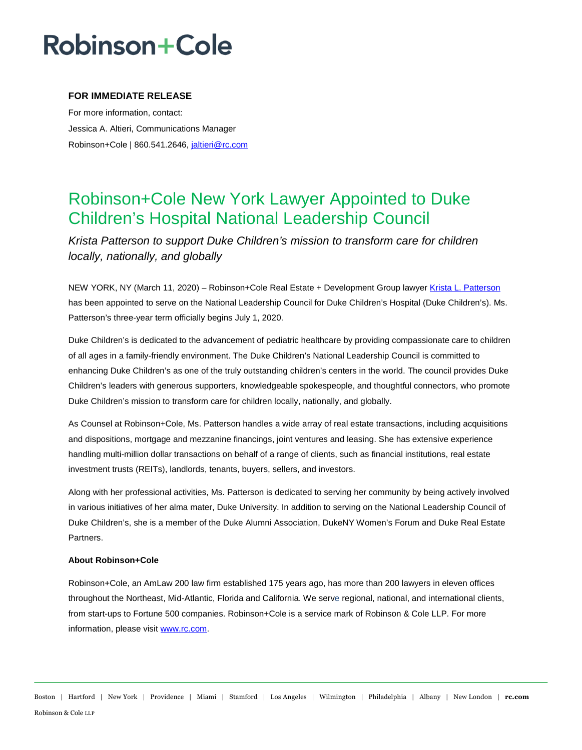# Robinson+Cole

### **FOR IMMEDIATE RELEASE**

For more information, contact: Jessica A. Altieri, Communications Manager Robinson+Cole | 860.541.2646, [jaltieri@rc.com](mailto:jaltieri@rc.com)

## Robinson+Cole New York Lawyer Appointed to Duke Children's Hospital National Leadership Council

*Krista Patterson to support Duke Children's mission to transform care for children locally, nationally, and globally* 

NEW YORK, NY (March 11, 2020) – Robinson+Cole Real Estate + Development Group lawyer [Krista L. Patterson](http://www.rc.com/people/KristaLPatterson.cfm) has been appointed to serve on the National Leadership Council for Duke Children's Hospital (Duke Children's). Ms. Patterson's three-year term officially begins July 1, 2020.

Duke Children's is dedicated to the advancement of pediatric healthcare by providing compassionate care to children of all ages in a family-friendly environment. The Duke Children's National Leadership Council is committed to enhancing Duke Children's as one of the truly outstanding children's centers in the world. The council provides Duke Children's leaders with generous supporters, knowledgeable spokespeople, and thoughtful connectors, who promote Duke Children's mission to transform care for children locally, nationally, and globally.

As Counsel at Robinson+Cole, Ms. Patterson handles a wide array of real estate transactions, including acquisitions and dispositions, mortgage and mezzanine financings, joint ventures and leasing. She has extensive experience handling multi-million dollar transactions on behalf of a range of clients, such as financial institutions, real estate investment trusts (REITs), landlords, tenants, buyers, sellers, and investors.

Along with her professional activities, Ms. Patterson is dedicated to serving her community by being actively involved in various initiatives of her alma mater, Duke University. In addition to serving on the National Leadership Council of Duke Children's, she is a member of the Duke Alumni Association, DukeNY Women's Forum and Duke Real Estate Partners.

#### **About Robinson+Cole**

Robinson+Cole, an AmLaw 200 law firm established 175 years ago, has more than 200 lawyers in eleven offices throughout the Northeast, Mid-Atlantic, Florida and California. We serve regional, national, and international clients, from start-ups to Fortune 500 companies. Robinson+Cole is a service mark of Robinson & Cole LLP. For more information, please visi[t www.rc.com.](http://www.rc.com/)